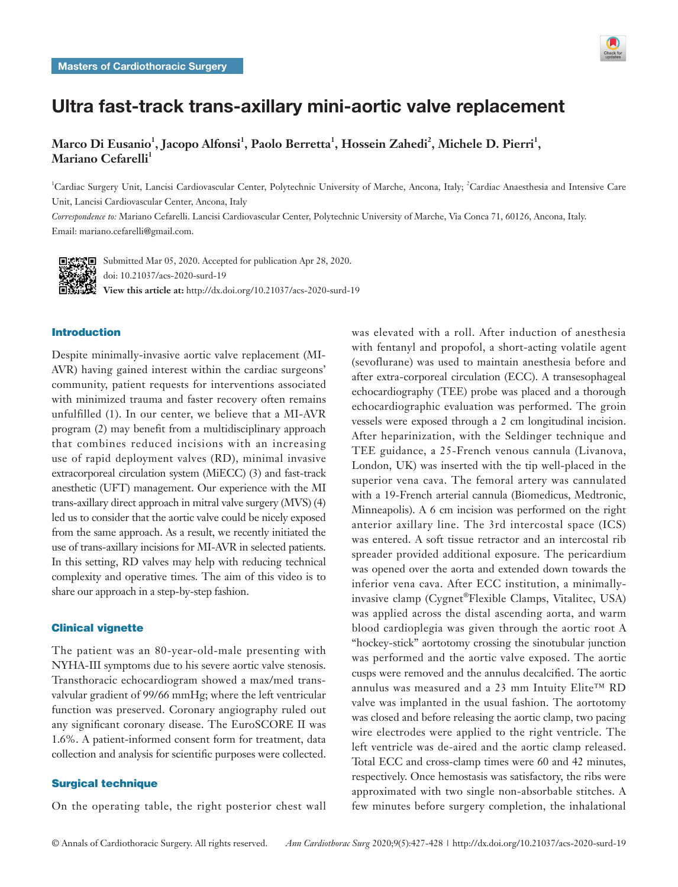

# Ultra fast-track trans-axillary mini-aortic valve replacement

Marco Di Eusanio<sup>1</sup>, Jacopo Alfonsi<sup>1</sup>, Paolo Berretta<sup>1</sup>, Hossein Zahedi<sup>2</sup>, Michele D. Pierri<sup>1</sup>, **Mariano Cefarelli**<sup>1</sup>

<sup>1</sup>Cardiac Surgery Unit, Lancisi Cardiovascular Center, Polytechnic University of Marche, Ancona, Italy; <sup>2</sup>Cardiac Anaesthesia and Intensive Care Unit, Lancisi Cardiovascular Center, Ancona, Italy

*Correspondence to:* Mariano Cefarelli. Lancisi Cardiovascular Center, Polytechnic University of Marche, Via Conca 71, 60126, Ancona, Italy. Email: mariano.cefarelli@gmail.com.



■ <br />
Submitted Mar 05, 2020. Accepted for publication Apr 28, 2020. doi: 10.21037/acs-2020-surd-19 **View this article at:** http://dx.doi.org/10.21037/acs-2020-surd-19

# Introduction

Despite minimally-invasive aortic valve replacement (MI-AVR) having gained interest within the cardiac surgeons' community, patient requests for interventions associated with minimized trauma and faster recovery often remains unfulfilled (1). In our center, we believe that a MI-AVR program (2) may benefit from a multidisciplinary approach that combines reduced incisions with an increasing use of rapid deployment valves (RD), minimal invasive extracorporeal circulation system (MiECC) (3) and fast-track anesthetic (UFT) management. Our experience with the MI trans-axillary direct approach in mitral valve surgery (MVS) (4) led us to consider that the aortic valve could be nicely exposed from the same approach. As a result, we recently initiated the use of trans-axillary incisions for MI-AVR in selected patients. In this setting, RD valves may help with reducing technical complexity and operative times. The aim of this video is to share our approach in a step-by-step fashion.

## Clinical vignette

The patient was an 80-year-old-male presenting with NYHA-III symptoms due to his severe aortic valve stenosis. Transthoracic echocardiogram showed a max/med transvalvular gradient of 99/66 mmHg; where the left ventricular function was preserved. Coronary angiography ruled out any significant coronary disease. The EuroSCORE II was 1.6%. A patient-informed consent form for treatment, data collection and analysis for scientific purposes were collected.

## Surgical technique

On the operating table, the right posterior chest wall

was elevated with a roll. After induction of anesthesia with fentanyl and propofol, a short-acting volatile agent (sevoflurane) was used to maintain anesthesia before and after extra-corporeal circulation (ECC). A transesophageal echocardiography (TEE) probe was placed and a thorough echocardiographic evaluation was performed. The groin vessels were exposed through a 2 cm longitudinal incision. After heparinization, with the Seldinger technique and TEE guidance, a 25-French venous cannula (Livanova, London, UK) was inserted with the tip well-placed in the superior vena cava. The femoral artery was cannulated with a 19-French arterial cannula (Biomedicus, Medtronic, Minneapolis). A 6 cm incision was performed on the right anterior axillary line. The 3rd intercostal space (ICS) was entered. A soft tissue retractor and an intercostal rib spreader provided additional exposure. The pericardium was opened over the aorta and extended down towards the inferior vena cava. After ECC institution, a minimallyinvasive clamp (Cygnet®Flexible Clamps, Vitalitec, USA) was applied across the distal ascending aorta, and warm blood cardioplegia was given through the aortic root A "hockey-stick" aortotomy crossing the sinotubular junction was performed and the aortic valve exposed. The aortic cusps were removed and the annulus decalcified. The aortic annulus was measured and a 23 mm Intuity Elite™ RD valve was implanted in the usual fashion. The aortotomy was closed and before releasing the aortic clamp, two pacing wire electrodes were applied to the right ventricle. The left ventricle was de-aired and the aortic clamp released. Total ECC and cross-clamp times were 60 and 42 minutes, respectively. Once hemostasis was satisfactory, the ribs were approximated with two single non-absorbable stitches. A few minutes before surgery completion, the inhalational